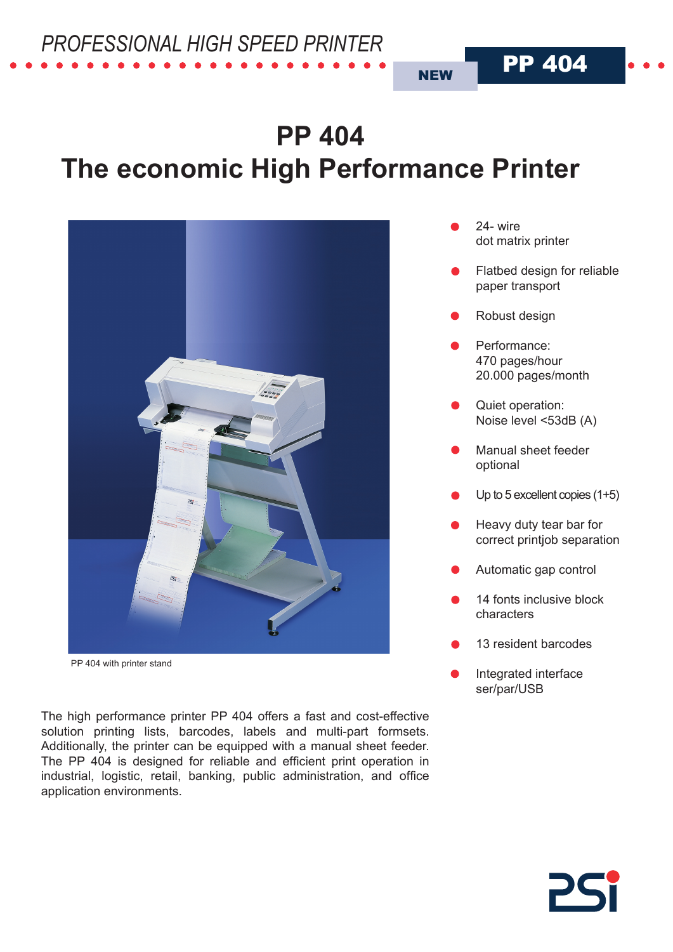# **PP 404 The economic High Performance Printer**



PP 404 with printer stand

The high performance printer PP 404 offers a fast and cost-effective solution printing lists, barcodes, labels and multi-part formsets. Additionally, the printer can be equipped with a manual sheet feeder. The PP 404 is designed for reliable and efficient print operation in industrial, logistic, retail, banking, public administration, and office application environments.

24- wire dot matrix printer

**NEW** 

Flatbed design for reliable paper transport

PP 404

- Robust design
- Performance: 470 pages/hour 20.000 pages/month
- Quiet operation: Noise level <53dB (A)
- Manual sheet feeder optional
- Up to 5 excellent copies (1+5)
- Heavy duty tear bar for correct printjob separation
- Automatic gap control
- 14 fonts inclusive block characters
- 13 resident barcodes
- Integrated interface ser/par/USB